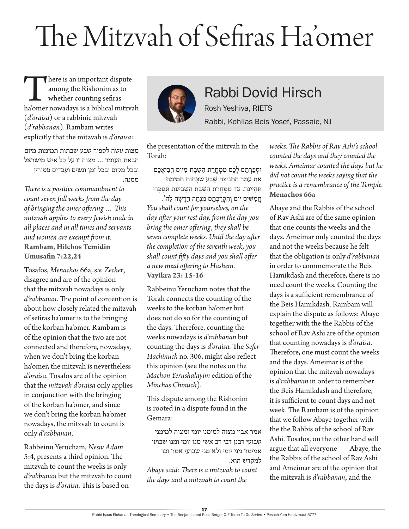## The Mitzvah of Sefiras Ha'omer

There is an important dispute<br>
among the Rishonim as to<br>
whether counting sefiras<br>
ha'omer nowadays is a biblical mitzvah among the Rishonim as to whether counting sefiras (*d'oraisa*) or a rabbinic mitzvah (*d'rabbanan*). Rambam writes explicitly that the mitzvah is *d'oraisa*:

מצות עשה לספור שבע שבתות תמימות מיום הבאת העומר ... מצוה זו על כל איש מישראל ובכל מקום ובכל זמן ונשים ועבדים פטורין ממנה.

*There is a positive commandment to count seven full weeks from the day of bringing the omer offering … This mitzvah applies to every Jewish male in all places and in all times and servants and women are exempt from it.* **Rambam, Hilchos Temidin Umusafin 7:22,24**

Tosafos, *Menachos* 66a, s.v. *Zecher*, disagree and are of the opinion that the mitzvah nowadays is only *d'rabbanan*. The point of contention is about how closely related the mitzvah of sefiras ha'omer is to the bringing of the korban ha'omer. Rambam is of the opinion that the two are not connected and therefore, nowadays, when we don't bring the korban ha'omer, the mitzvah is nevertheless *d'oraisa*. Tosafos are of the opinion that the *mitzvah d'oraisa* only applies in conjunction with the bringing of the korban ha'omer, and since we don't bring the korban ha'omer nowadays, the mitzvah to count is only *d'rabbanan*.

Rabbeinu Yerucham, *Nesiv Adam* 5:4, presents a third opinion. The mitzvah to count the weeks is only *d'rabbanan* but the mitzvah to count the days is *d'oraisa*. This is based on



Rabbi Dovid Hirsch Rosh Yeshiva, RIETS

Rabbi, Kehilas Beis Yosef, Passaic, NJ

the presentation of the mitzvah in the Torah:

ּוסְ פַ רְ תֶ ם לָ כֶ ם מִ מָ חֳ רַ ת הַ שַ בָ ת מִ ּיֹום הֲ בִ יאֲ כֶ ם אֶת עֹמֶר הַתְּנוּפֶה שֶׁבַע שַׁבַּתוֹת תְּמִימֹת תְּהְיֵינָה. עַד מְמָחֶרַת הַשַּׁבָּת הַשִּׁבִיעָת תְּסִפְּרוּ חֲ מִ שִ ים יֹום וְ הִ קְ רַ בְ תֶ ם מִ נְ חָ ה חֲ דָ שָ ה לַ ה'.

*You shall count for yourselves, on the day after your rest day, from the day you bring the omer offering, they shall be seven complete weeks. Until the day after the completion of the seventh week, you shall count fifty days and you shall offer a new meal offering to Hashem.* **Vayikra 23: 15-16**

Rabbeinu Yerucham notes that the Torah connects the counting of the weeks to the korban ha'omer but does not do so for the counting of the days. Therefore, counting the weeks nowadays is *d'rabbanan* but counting the days is *d'oraisa.* The *Sefer Hachinuch* no. 306, might also reflect this opinion (see the notes on the *Machon Yerushalayim* edition of the *Minchas Chinuch*).

This dispute among the Rishonim is rooted in a dispute found in the Gemara:

אמר אביי מצוה למימני יומי ומצוה למימני שבועי רבנן דבי רב אשי מנו יומי ומנו שבועי אמימר מני יומי ולא מני שבועי אמר זכר למקדש הוא.

*Abaye said: There is a mitzvah to count the days and a mitzvah to count the* 

*weeks. The Rabbis of Rav Ashi's school counted the days and they counted the weeks. Ameimar counted the days but he did not count the weeks saying that the practice is a remembrance of the Temple.* **Menachos 66a**

Abaye and the Rabbis of the school of Rav Ashi are of the same opinion that one counts the weeks and the days. Ameimar only counted the days and not the weeks because he felt that the obligation is only *d'rabbanan* in order to commemorate the Beis Hamikdash and therefore, there is no need count the weeks. Counting the days is a sufficient remembrance of the Beis Hamikdash. Rambam will explain the dispute as follows: Abaye together with the the Rabbis of the school of Rav Ashi are of the opinion that counting nowadays is *d'oraisa*. Therefore, one must count the weeks and the days. Ameimar is of the opinion that the mitzvah nowadays is *d'rabbanan* in order to remember the Beis Hamikdash and therefore, it is sufficient to count days and not week. The Rambam is of the opinion that we follow Abaye together with the the Rabbis of the school of Rav Ashi. Tosafos, on the other hand will argue that all everyone — Abaye, the the Rabbis of the school of Rav Ashi and Ameimar are of the opinion that the mitzvah is *d'rabbanan*, and the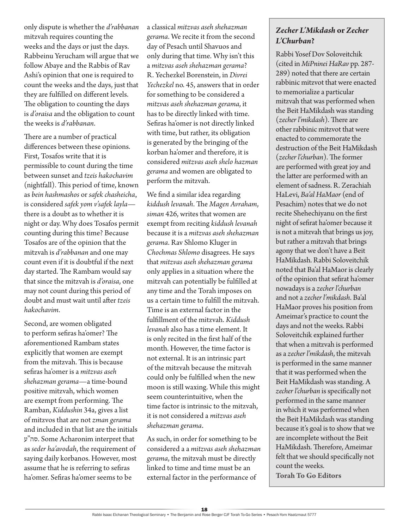only dispute is whether the *d'rabbanan* mitzvah requires counting the weeks and the days or just the days. Rabbeinu Yerucham will argue that we follow Abaye and the Rabbis of Rav Ashi's opinion that one is required to count the weeks and the days, just that they are fulfilled on different levels. The obligation to counting the days is *d'oraisa* and the obligation to count the weeks is *d'rabbanan*.

There are a number of practical differences between these opinions. First, Tosafos write that it is permissible to count during the time between sunset and *tzeis hakochavim* (nightfall). This period of time, known as *bein hashmashos* or *safek chasheicha*, is considered *safek yom v'safek layla* there is a doubt as to whether it is night or day. Why does Tosafos permit counting during this time? Because Tosafos are of the opinion that the mitzvah is *d'rabbanan* and one may count even if it is doubtful if the next day started. The Rambam would say that since the mitzvah is *d'oraisa*, one may not count during this period of doubt and must wait until after *tzeis hakochavim*.

Second, are women obligated to perform sefiras ha'omer? The aforementioned Rambam states explicitly that women are exempt from the mitzvah. This is because sefiras ha'omer is a *mitzvas aseh shehazman gerama*—a time-bound positive mitzvah, which women are exempt from performing. The Ramban, *Kiddushin* 34a, gives a list of mitzvos that are not *zman gerama* and included in that list are the initials ע"סה. Some Acharonim interpret that as *seder ha'avodah*, the requirement of saying daily korbanos. However, most assume that he is referring to sefiras ha'omer. Sefiras ha'omer seems to be

a classical *mitzvas aseh shehazman gerama*. We recite it from the second day of Pesach until Shavuos and only during that time. Why isn't this a *mitzvas aseh shehazman gerama*? R. Yechezkel Borenstein, in *Divrei Yechezkel* no. 45, answers that in order for something to be considered a *mitzvas aseh shehazman gerama*, it has to be directly linked with time. Sefiras ha'omer is not directly linked with time, but rather, its obligation is generated by the bringing of the korban ha'omer and therefore, it is considered *mitzvas aseh shelo hazman gerama* and women are obligated to perform the mitzvah.

We find a similar idea regarding *kiddush levanah*. The *Magen Avraham*, *siman* 426, writes that women are exempt from reciting *kiddush levanah* because it is a *mitzvas aseh shehazman gerama*. Rav Shlomo Kluger in *Chochmas Shlomo* disagrees. He says that *mitzvas aseh shehazman gerama* only applies in a situation where the mitzvah can potentially be fulfilled at any time and the Torah imposes on us a certain time to fulfill the mitzvah. Time is an external factor in the fulfillment of the mitzvah. *Kiddush levanah* also has a time element. It is only recited in the first half of the month. However, the time factor is not external. It is an intrinsic part of the mitzvah because the mitzvah could only be fulfilled when the new moon is still waxing. While this might seem counterintuitive, when the time factor is intrinsic to the mitzvah, it is not considered a *mitzvas aseh shehazman gerama*.

As such, in order for something to be considered a a *mitzvas aseh shehazman gerama*, the mitzvah must be directly linked to time and time must be an external factor in the performance of

## *Zecher L'Mikdash* **or** *Zecher L'Churban***?**

Rabbi Yosef Dov Soloveitchik (cited in *MiPninei HaRav* pp. 287- 289) noted that there are certain rabbinic mitzvot that were enacted to memorialize a particular mitzvah that was performed when the Beit HaMikdash was standing (*zecher l'mikdash*). There are other rabbinic mitzvot that were enacted to commemorate the destruction of the Beit HaMikdash (*zecher l'churban*). The former are performed with great joy and the latter are performed with an element of sadness. R. Zerachiah HaLevi, *Ba'al HaMaor* (end of Pesachim) notes that we do not recite Shehechiyanu on the first night of sefirat ha'omer because it is not a mitzvah that brings us joy, but rather a mitzvah that brings agony that we don't have a Beit HaMikdash. Rabbi Soloveitchik noted that Ba'al HaMaor is clearly of the opinion that sefirat ha'omer nowadays is a *zecher l'churban* and not a *zecher l'mikdash*. Ba'al HaMaor proves his position from Ameimar's practice to count the days and not the weeks. Rabbi Soloveitchik explained further that when a mitzvah is performed as a *zecher l'mikdash*, the mitzvah is performed in the same manner that it was performed when the Beit HaMikdash was standing. A *zecher l'churban* is specifically not performed in the same manner in which it was performed when the Beit HaMikdash was standing because it's goal is to show that we are incomplete without the Beit HaMikdash. Therefore, Ameimar felt that we should specifically not count the weeks. **Torah To Go Editors**